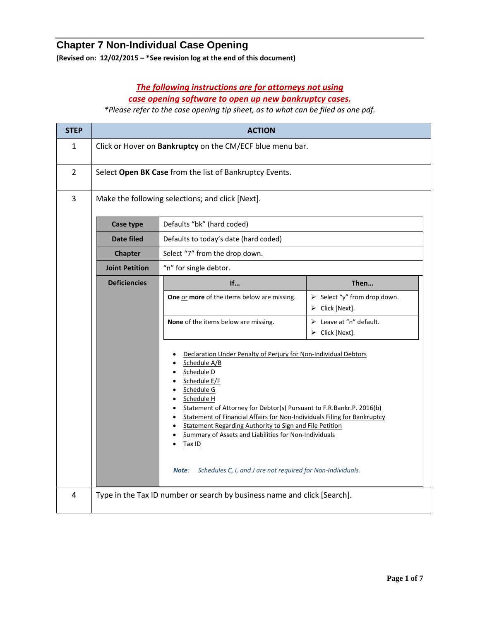## **Chapter 7 Non-Individual Case Opening**

**(Revised on: 12/02/2015 – \*See revision log at the end of this document)**

## *The following instructions are for attorneys not using case opening software to open up new bankruptcy cases.*

*\*Please refer to the case opening tip sheet, as to what can be filed as one pdf.*

| <b>STEP</b>    | <b>ACTION</b>                                             |                                                                                                                                                                                                                                                                                                                                                                                                                                                                                                                                 |                                                                               |  |
|----------------|-----------------------------------------------------------|---------------------------------------------------------------------------------------------------------------------------------------------------------------------------------------------------------------------------------------------------------------------------------------------------------------------------------------------------------------------------------------------------------------------------------------------------------------------------------------------------------------------------------|-------------------------------------------------------------------------------|--|
| $\mathbf{1}$   | Click or Hover on Bankruptcy on the CM/ECF blue menu bar. |                                                                                                                                                                                                                                                                                                                                                                                                                                                                                                                                 |                                                                               |  |
| $\overline{2}$ | Select Open BK Case from the list of Bankruptcy Events.   |                                                                                                                                                                                                                                                                                                                                                                                                                                                                                                                                 |                                                                               |  |
| 3              | Make the following selections; and click [Next].          |                                                                                                                                                                                                                                                                                                                                                                                                                                                                                                                                 |                                                                               |  |
|                | Defaults "bk" (hard coded)<br>Case type                   |                                                                                                                                                                                                                                                                                                                                                                                                                                                                                                                                 |                                                                               |  |
|                | Date filed<br>Defaults to today's date (hard coded)       |                                                                                                                                                                                                                                                                                                                                                                                                                                                                                                                                 |                                                                               |  |
|                | <b>Chapter</b>                                            | Select "7" from the drop down.                                                                                                                                                                                                                                                                                                                                                                                                                                                                                                  |                                                                               |  |
|                | <b>Joint Petition</b>                                     | "n" for single debtor.                                                                                                                                                                                                                                                                                                                                                                                                                                                                                                          |                                                                               |  |
|                | <b>Deficiencies</b>                                       | If                                                                                                                                                                                                                                                                                                                                                                                                                                                                                                                              | Then                                                                          |  |
|                |                                                           | One or more of the items below are missing.                                                                                                                                                                                                                                                                                                                                                                                                                                                                                     | $\triangleright$ Select "y" from drop down.<br>$\triangleright$ Click [Next]. |  |
|                |                                                           | None of the items below are missing.                                                                                                                                                                                                                                                                                                                                                                                                                                                                                            | $\triangleright$ Leave at "n" default.<br>$\triangleright$ Click [Next].      |  |
|                |                                                           | Declaration Under Penalty of Perjury for Non-Individual Debtors<br>Schedule A/B<br>Schedule D<br>Schedule E/F<br>Schedule G<br>• Schedule H<br>Statement of Attorney for Debtor(s) Pursuant to F.R.Bankr.P. 2016(b)<br>$\bullet$<br>Statement of Financial Affairs for Non-Individuals Filing for Bankruptcy<br>$\bullet$<br>Statement Regarding Authority to Sign and File Petition<br>Summary of Assets and Liabilities for Non-Individuals<br>Tax ID<br>Schedules C, I, and J are not required for Non-Individuals.<br>Note: |                                                                               |  |
| 4              |                                                           | Type in the Tax ID number or search by business name and click [Search].                                                                                                                                                                                                                                                                                                                                                                                                                                                        |                                                                               |  |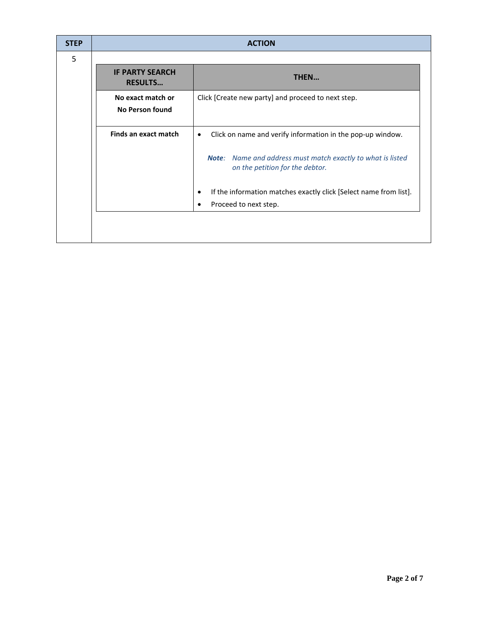| <b>STEP</b> | <b>ACTION</b>                               |                                                                                                              |  |
|-------------|---------------------------------------------|--------------------------------------------------------------------------------------------------------------|--|
| 5           |                                             |                                                                                                              |  |
|             | <b>IF PARTY SEARCH</b><br><b>RESULTS</b>    | THEN                                                                                                         |  |
|             | No exact match or<br><b>No Person found</b> | Click [Create new party] and proceed to next step.                                                           |  |
|             | Finds an exact match                        | Click on name and verify information in the pop-up window.<br>٠                                              |  |
|             |                                             | <b>Note:</b> Name and address must match exactly to what is listed<br>on the petition for the debtor.        |  |
|             |                                             | If the information matches exactly click [Select name from list].<br>$\bullet$<br>Proceed to next step.<br>٠ |  |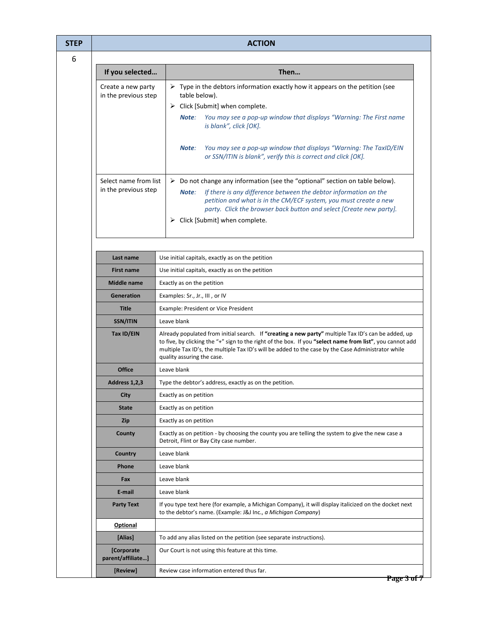| <b>ACTION</b>                              |                                                                                                                                                                                                                                                                                                                                                      |  |  |
|--------------------------------------------|------------------------------------------------------------------------------------------------------------------------------------------------------------------------------------------------------------------------------------------------------------------------------------------------------------------------------------------------------|--|--|
|                                            |                                                                                                                                                                                                                                                                                                                                                      |  |  |
| If you selected                            | Then                                                                                                                                                                                                                                                                                                                                                 |  |  |
| Create a new party<br>in the previous step | $\triangleright$ Type in the debtors information exactly how it appears on the petition (see<br>table below).<br>$\triangleright$ Click [Submit] when complete.                                                                                                                                                                                      |  |  |
|                                            | You may see a pop-up window that displays "Warning: The First name<br>Note:<br>is blank", click [OK].                                                                                                                                                                                                                                                |  |  |
|                                            | Note:<br>You may see a pop-up window that displays "Warning: The TaxID/EIN<br>or SSN/ITIN is blank", verify this is correct and click [OK].                                                                                                                                                                                                          |  |  |
| Select name from list                      | $\triangleright$ Do not change any information (see the "optional" section on table below).                                                                                                                                                                                                                                                          |  |  |
| in the previous step                       | If there is any difference between the debtor information on the<br>Note:<br>petition and what is in the CM/ECF system, you must create a new<br>party. Click the browser back button and select [Create new party].                                                                                                                                 |  |  |
|                                            | $\triangleright$ Click [Submit] when complete.                                                                                                                                                                                                                                                                                                       |  |  |
| Last name                                  | Use initial capitals, exactly as on the petition                                                                                                                                                                                                                                                                                                     |  |  |
| <b>First name</b>                          | Use initial capitals, exactly as on the petition                                                                                                                                                                                                                                                                                                     |  |  |
| <b>Middle name</b>                         |                                                                                                                                                                                                                                                                                                                                                      |  |  |
| <b>Generation</b>                          | Exactly as on the petition                                                                                                                                                                                                                                                                                                                           |  |  |
|                                            | Examples: Sr., Jr., III, or IV                                                                                                                                                                                                                                                                                                                       |  |  |
|                                            | <b>Title</b><br>Example: President or Vice President<br>Leave blank                                                                                                                                                                                                                                                                                  |  |  |
| SSN/ITIN                                   |                                                                                                                                                                                                                                                                                                                                                      |  |  |
| Tax ID/EIN                                 | Already populated from initial search. If "creating a new party" multiple Tax ID's can be added, up<br>to five, by clicking the "+" sign to the right of the box. If you "select name from list", you cannot add<br>multiple Tax ID's, the multiple Tax ID's will be added to the case by the Case Administrator while<br>quality assuring the case. |  |  |
| <b>Office</b>                              | Leave blank                                                                                                                                                                                                                                                                                                                                          |  |  |
| Address 1,2,3                              | Type the debtor's address, exactly as on the petition.                                                                                                                                                                                                                                                                                               |  |  |
| City                                       | Exactly as on petition                                                                                                                                                                                                                                                                                                                               |  |  |
| <b>State</b>                               | Exactly as on petition                                                                                                                                                                                                                                                                                                                               |  |  |
| <b>Zip</b>                                 | Exactly as on petition                                                                                                                                                                                                                                                                                                                               |  |  |
| County                                     | Exactly as on petition - by choosing the county you are telling the system to give the new case a<br>Detroit, Flint or Bay City case number.                                                                                                                                                                                                         |  |  |
| <b>Country</b>                             | Leave blank                                                                                                                                                                                                                                                                                                                                          |  |  |
| <b>Phone</b>                               | Leave blank                                                                                                                                                                                                                                                                                                                                          |  |  |
| Fax                                        | Leave blank                                                                                                                                                                                                                                                                                                                                          |  |  |
| E-mail                                     | Leave blank                                                                                                                                                                                                                                                                                                                                          |  |  |
| <b>Party Text</b>                          | If you type text here (for example, a Michigan Company), it will display italicized on the docket next<br>to the debtor's name. (Example: J&J Inc., a Michigan Company)                                                                                                                                                                              |  |  |
| <b>Optional</b>                            |                                                                                                                                                                                                                                                                                                                                                      |  |  |
| [Alias]                                    | To add any alias listed on the petition (see separate instructions).                                                                                                                                                                                                                                                                                 |  |  |
| [Corporate<br>parent/affiliate]            | Our Court is not using this feature at this time.                                                                                                                                                                                                                                                                                                    |  |  |
| [Review]                                   | Review case information entered thus far.                                                                                                                                                                                                                                                                                                            |  |  |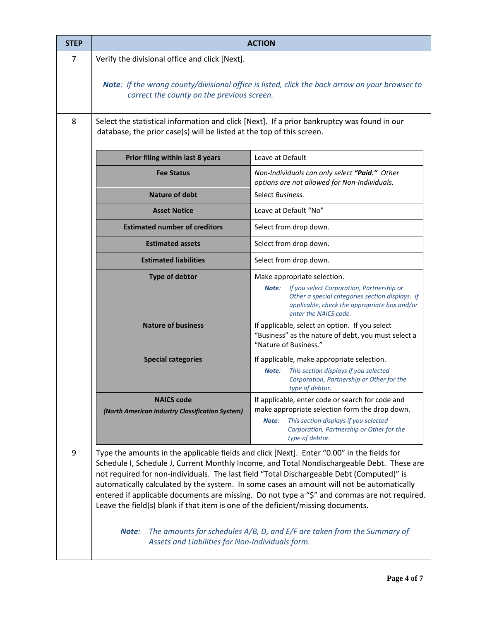| <b>STEP</b> | <b>ACTION</b>                                                                                                                                                                                                                                                                                                                                                                                                                                                                                                                                                                                                                                                                                                  |                                                                                                                                                                                                                      |  |  |  |
|-------------|----------------------------------------------------------------------------------------------------------------------------------------------------------------------------------------------------------------------------------------------------------------------------------------------------------------------------------------------------------------------------------------------------------------------------------------------------------------------------------------------------------------------------------------------------------------------------------------------------------------------------------------------------------------------------------------------------------------|----------------------------------------------------------------------------------------------------------------------------------------------------------------------------------------------------------------------|--|--|--|
| 7           | Verify the divisional office and click [Next].                                                                                                                                                                                                                                                                                                                                                                                                                                                                                                                                                                                                                                                                 |                                                                                                                                                                                                                      |  |  |  |
|             | <b>Note:</b> If the wrong county/divisional office is listed, click the back arrow on your browser to<br>correct the county on the previous screen.                                                                                                                                                                                                                                                                                                                                                                                                                                                                                                                                                            |                                                                                                                                                                                                                      |  |  |  |
| 8           | Select the statistical information and click [Next]. If a prior bankruptcy was found in our<br>database, the prior case(s) will be listed at the top of this screen.                                                                                                                                                                                                                                                                                                                                                                                                                                                                                                                                           |                                                                                                                                                                                                                      |  |  |  |
|             | Leave at Default<br>Prior filing within last 8 years                                                                                                                                                                                                                                                                                                                                                                                                                                                                                                                                                                                                                                                           |                                                                                                                                                                                                                      |  |  |  |
|             | <b>Fee Status</b>                                                                                                                                                                                                                                                                                                                                                                                                                                                                                                                                                                                                                                                                                              | Non-Individuals can only select "Paid." Other<br>options are not allowed for Non-Individuals.                                                                                                                        |  |  |  |
|             | <b>Nature of debt</b>                                                                                                                                                                                                                                                                                                                                                                                                                                                                                                                                                                                                                                                                                          | Select Business.                                                                                                                                                                                                     |  |  |  |
|             | <b>Asset Notice</b>                                                                                                                                                                                                                                                                                                                                                                                                                                                                                                                                                                                                                                                                                            | Leave at Default "No"                                                                                                                                                                                                |  |  |  |
|             | <b>Estimated number of creditors</b>                                                                                                                                                                                                                                                                                                                                                                                                                                                                                                                                                                                                                                                                           | Select from drop down.                                                                                                                                                                                               |  |  |  |
|             | <b>Estimated assets</b>                                                                                                                                                                                                                                                                                                                                                                                                                                                                                                                                                                                                                                                                                        | Select from drop down.                                                                                                                                                                                               |  |  |  |
|             | <b>Estimated liabilities</b>                                                                                                                                                                                                                                                                                                                                                                                                                                                                                                                                                                                                                                                                                   | Select from drop down.                                                                                                                                                                                               |  |  |  |
|             | <b>Type of debtor</b>                                                                                                                                                                                                                                                                                                                                                                                                                                                                                                                                                                                                                                                                                          | Make appropriate selection.<br>If you select Corporation, Partnership or<br>Note:<br>Other a special categories section displays. If<br>applicable, check the appropriate box and/or<br>enter the NAICS code.        |  |  |  |
|             | <b>Nature of business</b>                                                                                                                                                                                                                                                                                                                                                                                                                                                                                                                                                                                                                                                                                      | If applicable, select an option. If you select<br>"Business" as the nature of debt, you must select a<br>"Nature of Business."                                                                                       |  |  |  |
|             | <b>Special categories</b>                                                                                                                                                                                                                                                                                                                                                                                                                                                                                                                                                                                                                                                                                      | If applicable, make appropriate selection.<br>This section displays if you selected<br>Note:<br>Corporation, Partnership or Other for the<br>type of debtor.                                                         |  |  |  |
|             | <b>NAICS code</b><br>(North American Industry Classification System)                                                                                                                                                                                                                                                                                                                                                                                                                                                                                                                                                                                                                                           | If applicable, enter code or search for code and<br>make appropriate selection form the drop down.<br>This section displays if you selected<br>Note:<br>Corporation, Partnership or Other for the<br>type of debtor. |  |  |  |
| 9           | Type the amounts in the applicable fields and click [Next]. Enter "0.00" in the fields for<br>Schedule I, Schedule J, Current Monthly Income, and Total Nondischargeable Debt. These are<br>not required for non-individuals. The last field "Total Dischargeable Debt (Computed)" is<br>automatically calculated by the system. In some cases an amount will not be automatically<br>entered if applicable documents are missing. Do not type a "\$" and commas are not required.<br>Leave the field(s) blank if that item is one of the deficient/missing documents.<br>The amounts for schedules A/B, D, and E/F are taken from the Summary of<br>Note:<br>Assets and Liabilities for Non-Individuals form. |                                                                                                                                                                                                                      |  |  |  |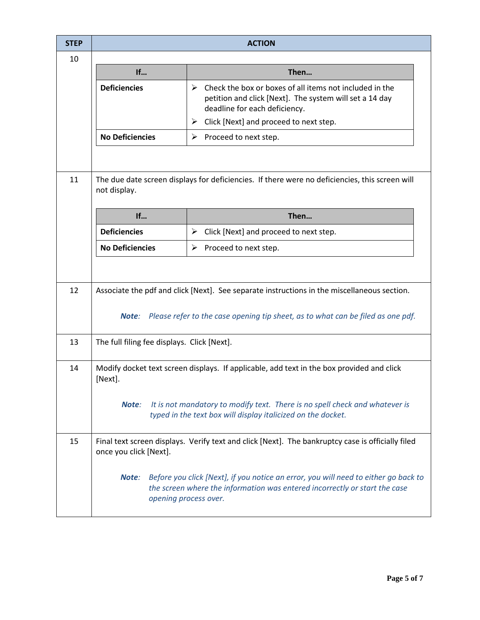| <b>STEP</b> | <b>ACTION</b>                                                                                                  |                                                                                                                                                                                                                                         |  |  |
|-------------|----------------------------------------------------------------------------------------------------------------|-----------------------------------------------------------------------------------------------------------------------------------------------------------------------------------------------------------------------------------------|--|--|
| 10          |                                                                                                                |                                                                                                                                                                                                                                         |  |  |
|             | If                                                                                                             | Then                                                                                                                                                                                                                                    |  |  |
|             | <b>Deficiencies</b>                                                                                            | Check the box or boxes of all items not included in the<br>$\blacktriangleright$<br>petition and click [Next]. The system will set a 14 day<br>deadline for each deficiency.<br>$\triangleright$ Click [Next] and proceed to next step. |  |  |
|             | <b>No Deficiencies</b>                                                                                         | Proceed to next step.<br>➤                                                                                                                                                                                                              |  |  |
|             |                                                                                                                |                                                                                                                                                                                                                                         |  |  |
| 11          | The due date screen displays for deficiencies. If there were no deficiencies, this screen will<br>not display. |                                                                                                                                                                                                                                         |  |  |
|             | If                                                                                                             | Then                                                                                                                                                                                                                                    |  |  |
|             | <b>Deficiencies</b>                                                                                            | Click [Next] and proceed to next step.<br>➤                                                                                                                                                                                             |  |  |
|             | <b>No Deficiencies</b>                                                                                         | Proceed to next step.<br>➤                                                                                                                                                                                                              |  |  |
|             |                                                                                                                |                                                                                                                                                                                                                                         |  |  |
| 12          | Associate the pdf and click [Next]. See separate instructions in the miscellaneous section.                    |                                                                                                                                                                                                                                         |  |  |
|             | Note:                                                                                                          | Please refer to the case opening tip sheet, as to what can be filed as one pdf.                                                                                                                                                         |  |  |
| 13          | The full filing fee displays. Click [Next].                                                                    |                                                                                                                                                                                                                                         |  |  |
| 14          | Modify docket text screen displays. If applicable, add text in the box provided and click<br>[Next].           |                                                                                                                                                                                                                                         |  |  |
|             | Note:                                                                                                          | It is not mandatory to modify text. There is no spell check and whatever is<br>typed in the text box will display italicized on the docket.                                                                                             |  |  |
| 15          | once you click [Next].                                                                                         | Final text screen displays. Verify text and click [Next]. The bankruptcy case is officially filed                                                                                                                                       |  |  |
|             | Note:<br>opening process over.                                                                                 | Before you click [Next], if you notice an error, you will need to either go back to<br>the screen where the information was entered incorrectly or start the case                                                                       |  |  |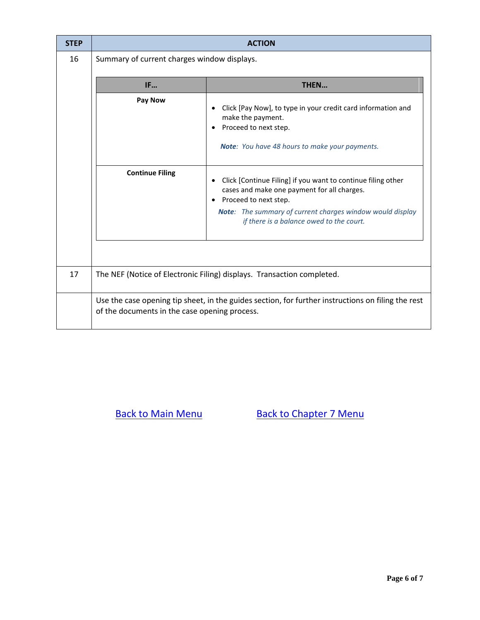| <b>STEP</b> | <b>ACTION</b>                                                          |                                                                                                                                                                                                                              |  |  |  |
|-------------|------------------------------------------------------------------------|------------------------------------------------------------------------------------------------------------------------------------------------------------------------------------------------------------------------------|--|--|--|
| 16          | Summary of current charges window displays.                            |                                                                                                                                                                                                                              |  |  |  |
|             | IF<br>THEN                                                             |                                                                                                                                                                                                                              |  |  |  |
|             | Pay Now<br><b>Continue Filing</b>                                      | Click [Pay Now], to type in your credit card information and<br>make the payment.<br>Proceed to next step.<br>Note: You have 48 hours to make your payments.<br>Click [Continue Filing] if you want to continue filing other |  |  |  |
|             |                                                                        | cases and make one payment for all charges.<br>Proceed to next step.<br>Note: The summary of current charges window would display<br>if there is a balance owed to the court.                                                |  |  |  |
| 17          | The NEF (Notice of Electronic Filing) displays. Transaction completed. |                                                                                                                                                                                                                              |  |  |  |
|             | of the documents in the case opening process.                          | Use the case opening tip sheet, in the guides section, for further instructions on filing the rest                                                                                                                           |  |  |  |

[Back to Main Menu](http://www.mieb.uscourts.gov/cmecf-docketing-guides) [Back to Chapter 7 Menu](http://www.mieb.uscourts.gov/forattorney/chapter-7)